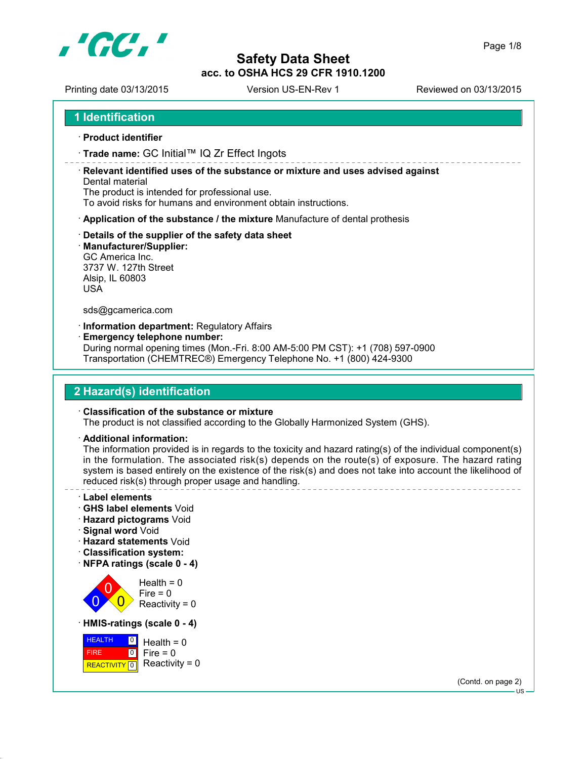

Printing date 03/13/2015 Version US-EN-Rev 1 Reviewed on 03/13/2015

```
1 Identification
```
- **Product identifier**
- **Trade name:** GC Initial™ IQ Zr Effect Ingots

 **Relevant identified uses of the substance or mixture and uses advised against** Dental material

The product is intended for professional use.

To avoid risks for humans and environment obtain instructions.

- **Application of the substance / the mixture** Manufacture of dental prothesis
- **Details of the supplier of the safety data sheet**
- **Manufacturer/Supplier:**

GC America Inc. 3737 W. 127th Street Alsip, IL 60803 USA

sds@gcamerica.com

**Information department:** Regulatory Affairs

**Emergency telephone number:**

During normal opening times (Mon.-Fri. 8:00 AM-5:00 PM CST): +1 (708) 597-0900 Transportation (CHEMTREC®) Emergency Telephone No. +1 (800) 424-9300

# **2 Hazard(s) identification**

#### **Classification of the substance or mixture**

The product is not classified according to the Globally Harmonized System (GHS).

**Additional information:**

The information provided is in regards to the toxicity and hazard rating(s) of the individual component(s) in the formulation. The associated risk(s) depends on the route(s) of exposure. The hazard rating system is based entirely on the existence of the risk(s) and does not take into account the likelihood of reduced risk(s) through proper usage and handling.

- **Label elements**
- **GHS label elements** Void
- **Hazard pictograms** Void
- **Signal word** Void
- **Hazard statements** Void
- **Classification system:**
- **NFPA ratings (scale 0 4)**



**HEALTH**  FIRE REACTIVITY 0  $\boxed{0}$  $\overline{10}$  $Health = 0$  $Fire = 0$ Reactivity =  $0$ 

(Contd. on page 2)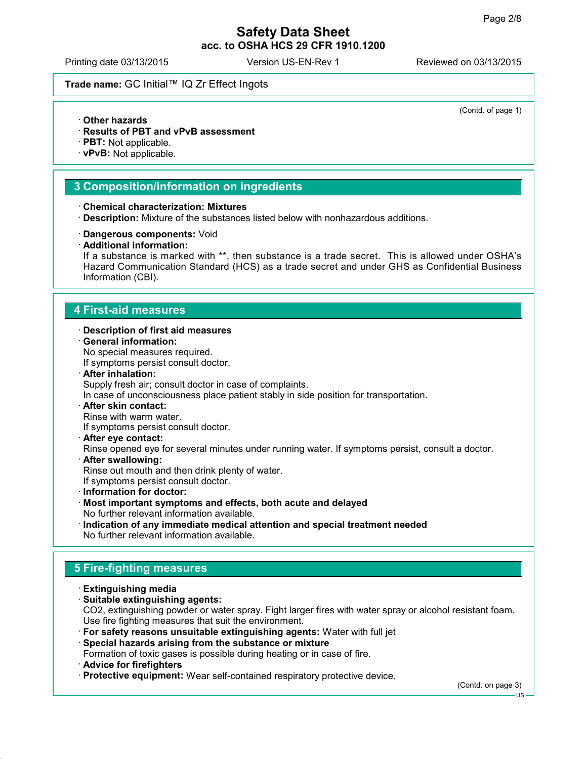(Contd. of page 1)

# **Safety Data Sheet acc. to OSHA HCS 29 CFR 1910.1200**

Printing date 03/13/2015 Version US-EN-Rev 1 Reviewed on 03/13/2015

## **Trade name:** GC Initial™ IQ Zr Effect Ingots

- **Other hazards**
- **Results of PBT and vPvB assessment**
- **PBT:** Not applicable.
- **vPvB:** Not applicable.

#### **3 Composition/information on ingredients**

- **Chemical characterization: Mixtures**
- **Description:** Mixture of the substances listed below with nonhazardous additions.
- **Dangerous components:** Void
- **Additional information:**

If a substance is marked with \*\*, then substance is a trade secret. This is allowed under OSHA's Hazard Communication Standard (HCS) as a trade secret and under GHS as Confidential Business Information (CBI).

#### **4 First-aid measures**

- **Description of first aid measures**
- **General information:**

No special measures required.

If symptoms persist consult doctor.

**After inhalation:**

Supply fresh air; consult doctor in case of complaints.

In case of unconsciousness place patient stably in side position for transportation.

**After skin contact:**

Rinse with warm water.

If symptoms persist consult doctor.

**After eye contact:**

Rinse opened eye for several minutes under running water. If symptoms persist, consult a doctor.

**After swallowing:**

Rinse out mouth and then drink plenty of water.

If symptoms persist consult doctor.

- **Information for doctor:**
- **Most important symptoms and effects, both acute and delayed** No further relevant information available.
- **Indication of any immediate medical attention and special treatment needed** No further relevant information available.

## **5 Fire-fighting measures**

- **Extinguishing media**
- **Suitable extinguishing agents:** CO2, extinguishing powder or water spray. Fight larger fires with water spray or alcohol resistant foam. Use fire fighting measures that suit the environment.
- **For safety reasons unsuitable extinguishing agents:** Water with full jet

#### **Special hazards arising from the substance or mixture**

Formation of toxic gases is possible during heating or in case of fire.

- **Advice for firefighters**
- **Protective equipment:** Wear self-contained respiratory protective device.

(Contd. on page 3)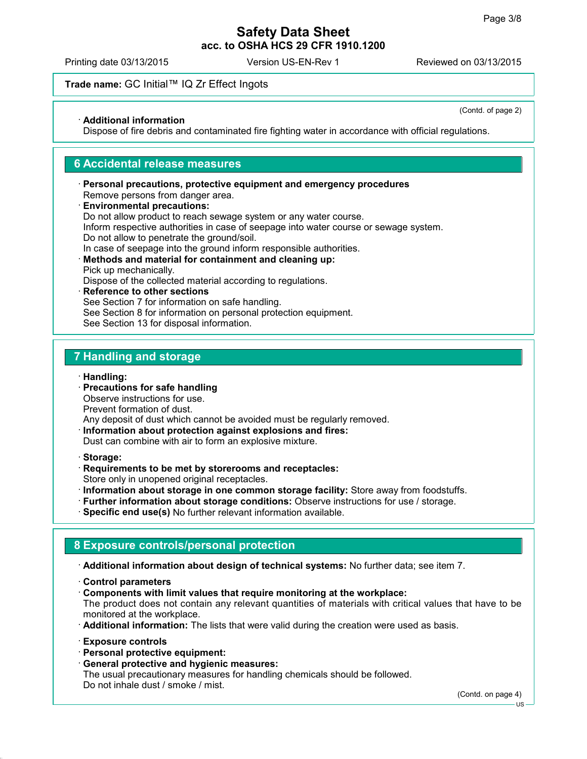Printing date 03/13/2015 Version US-EN-Rev 1 Reviewed on 03/13/2015

## **Trade name:** GC Initial™ IQ Zr Effect Ingots

**Additional information**

(Contd. of page 2)

Dispose of fire debris and contaminated fire fighting water in accordance with official regulations.

#### **6 Accidental release measures**

- **Personal precautions, protective equipment and emergency procedures** Remove persons from danger area.
- **Environmental precautions:** Do not allow product to reach sewage system or any water course. Inform respective authorities in case of seepage into water course or sewage system. Do not allow to penetrate the ground/soil. In case of seepage into the ground inform responsible authorities.
- **Methods and material for containment and cleaning up:** Pick up mechanically.

Dispose of the collected material according to regulations.

 **Reference to other sections** See Section 7 for information on safe handling. See Section 8 for information on personal protection equipment. See Section 13 for disposal information.

#### **7 Handling and storage**

**Handling:**

 **Precautions for safe handling** Observe instructions for use.

Prevent formation of dust.

Any deposit of dust which cannot be avoided must be regularly removed.

- **Information about protection against explosions and fires:** Dust can combine with air to form an explosive mixture.
- **Storage:**
- **Requirements to be met by storerooms and receptacles:**

Store only in unopened original receptacles.

- **Information about storage in one common storage facility:** Store away from foodstuffs.
- **Further information about storage conditions:** Observe instructions for use / storage.
- **Specific end use(s)** No further relevant information available.

## **8 Exposure controls/personal protection**

**Additional information about design of technical systems:** No further data; see item 7.

- **Control parameters**
- **Components with limit values that require monitoring at the workplace:**

The product does not contain any relevant quantities of materials with critical values that have to be monitored at the workplace.

- **Additional information:** The lists that were valid during the creation were used as basis.
- **Exposure controls**
- **Personal protective equipment:**
- **General protective and hygienic measures:**

The usual precautionary measures for handling chemicals should be followed. Do not inhale dust / smoke / mist.

(Contd. on page 4)

US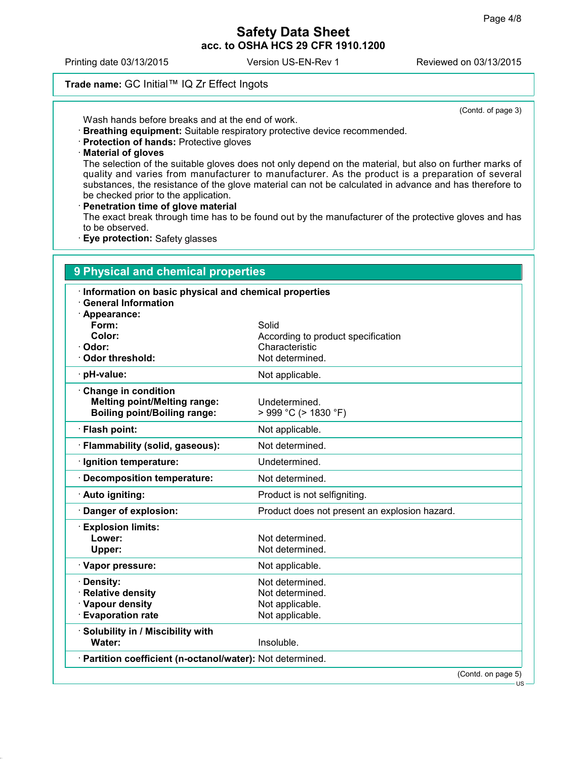Printing date 03/13/2015 Version US-EN-Rev 1 Reviewed on 03/13/2015

## **Trade name:** GC Initial™ IQ Zr Effect Ingots

(Contd. of page 3)

Wash hands before breaks and at the end of work.

- **Breathing equipment:** Suitable respiratory protective device recommended.
- **Protection of hands:** Protective gloves
- **Material of gloves**

The selection of the suitable gloves does not only depend on the material, but also on further marks of quality and varies from manufacturer to manufacturer. As the product is a preparation of several substances, the resistance of the glove material can not be calculated in advance and has therefore to be checked prior to the application.

#### **Penetration time of glove material**

The exact break through time has to be found out by the manufacturer of the protective gloves and has to be observed.

**Eye protection:** Safety glasses

| · Information on basic physical and chemical properties<br><b>General Information</b> |                                               |  |
|---------------------------------------------------------------------------------------|-----------------------------------------------|--|
| · Appearance:                                                                         |                                               |  |
| Form:                                                                                 | Solid                                         |  |
| Color:                                                                                | According to product specification            |  |
| · Odor:                                                                               | Characteristic                                |  |
| Odor threshold:                                                                       | Not determined.                               |  |
| · pH-value:                                                                           | Not applicable.                               |  |
| Change in condition                                                                   |                                               |  |
| <b>Melting point/Melting range:</b>                                                   | Undetermined.                                 |  |
| <b>Boiling point/Boiling range:</b>                                                   | > 999 °C (> 1830 °F)                          |  |
| · Flash point:                                                                        | Not applicable.                               |  |
| · Flammability (solid, gaseous):                                                      | Not determined.                               |  |
| · Ignition temperature:                                                               | Undetermined.                                 |  |
| · Decomposition temperature:                                                          | Not determined.                               |  |
| · Auto igniting:                                                                      | Product is not selfigniting.                  |  |
| Danger of explosion:                                                                  | Product does not present an explosion hazard. |  |
| <b>Explosion limits:</b>                                                              |                                               |  |
| Lower:                                                                                | Not determined.                               |  |
| Upper:                                                                                | Not determined.                               |  |
| · Vapor pressure:                                                                     | Not applicable.                               |  |
| · Density:                                                                            | Not determined.                               |  |
| · Relative density                                                                    | Not determined.                               |  |
| · Vapour density                                                                      | Not applicable.                               |  |
| <b>Evaporation rate</b>                                                               | Not applicable.                               |  |
| · Solubility in / Miscibility with                                                    |                                               |  |
| Water:                                                                                | Insoluble.                                    |  |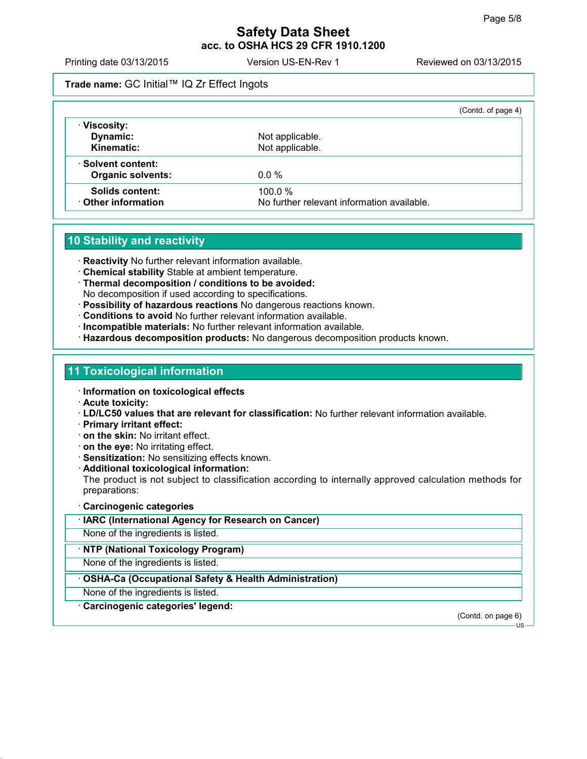Printing date 03/13/2015 Version US-EN-Rev 1 Reviewed on 03/13/2015

## **Trade name:** GC Initial™ IQ Zr Effect Ingots

|                          |                                            | (Contd. of page 4) |
|--------------------------|--------------------------------------------|--------------------|
| · Viscosity:             |                                            |                    |
| Dynamic:                 | Not applicable.                            |                    |
| Kinematic:               | Not applicable.                            |                    |
| Solvent content:         |                                            |                    |
| <b>Organic solvents:</b> | $0.0\%$                                    |                    |
| Solids content:          | 100.0%                                     |                    |
| ⋅ Other information      | No further relevant information available. |                    |

# **10 Stability and reactivity**

**Reactivity** No further relevant information available.

- **Chemical stability** Stable at ambient temperature.
- **Thermal decomposition / conditions to be avoided:** No decomposition if used according to specifications.
- **Possibility of hazardous reactions** No dangerous reactions known.
- **Conditions to avoid** No further relevant information available.
- **Incompatible materials:** No further relevant information available.
- **Hazardous decomposition products:** No dangerous decomposition products known.

#### **11 Toxicological information**

- **Information on toxicological effects**
- **Acute toxicity:**
- **LD/LC50 values that are relevant for classification:** No further relevant information available.
- **Primary irritant effect:**
- **on the skin:** No irritant effect.
- **on the eye:** No irritating effect.
- **Sensitization:** No sensitizing effects known.
- **Additional toxicological information:**

The product is not subject to classification according to internally approved calculation methods for preparations:

#### **Carcinogenic categories**

**IARC (International Agency for Research on Cancer)**

None of the ingredients is listed.

#### **NTP (National Toxicology Program)**

None of the ingredients is listed.

#### **OSHA-Ca (Occupational Safety & Health Administration)**

None of the ingredients is listed.

**Carcinogenic categories' legend:**

(Contd. on page 6)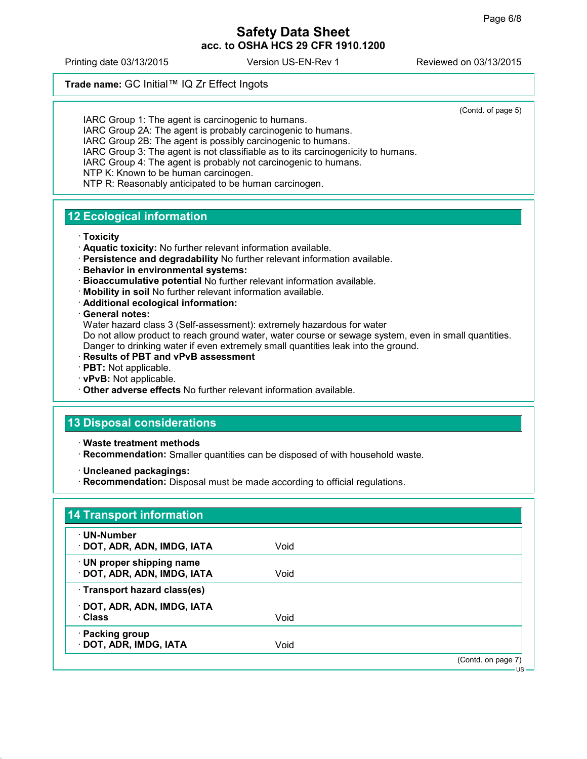Printing date 03/13/2015 Version US-EN-Rev 1 Reviewed on 03/13/2015

**Trade name:** GC Initial™ IQ Zr Effect Ingots

(Contd. of page 5)

IARC Group 1: The agent is carcinogenic to humans. IARC Group 2A: The agent is probably carcinogenic to humans. IARC Group 2B: The agent is possibly carcinogenic to humans. IARC Group 3: The agent is not classifiable as to its carcinogenicity to humans. IARC Group 4: The agent is probably not carcinogenic to humans. NTP K: Known to be human carcinogen. NTP R: Reasonably anticipated to be human carcinogen.

# **12 Ecological information**

#### **Toxicity**

- **Aquatic toxicity:** No further relevant information available.
- **Persistence and degradability** No further relevant information available.
- **Behavior in environmental systems:**
- **Bioaccumulative potential** No further relevant information available.
- **Mobility in soil** No further relevant information available.
- **Additional ecological information:**

#### **General notes:**

Water hazard class 3 (Self-assessment): extremely hazardous for water Do not allow product to reach ground water, water course or sewage system, even in small quantities. Danger to drinking water if even extremely small quantities leak into the ground.

- **Results of PBT and vPvB assessment**
- **PBT:** Not applicable.
- **vPvB:** Not applicable.
- **Other adverse effects** No further relevant information available.

# **13 Disposal considerations**

- **Waste treatment methods**
- **Recommendation:** Smaller quantities can be disposed of with household waste.
- **Uncleaned packagings:**
- **Recommendation:** Disposal must be made according to official regulations.

| · UN-Number                  |      |  |
|------------------------------|------|--|
| · DOT, ADR, ADN, IMDG, IATA  | Void |  |
| · UN proper shipping name    |      |  |
| · DOT, ADR, ADN, IMDG, IATA  | Void |  |
| · Transport hazard class(es) |      |  |
| · DOT, ADR, ADN, IMDG, IATA  |      |  |
| · Class                      | Void |  |
| · Packing group              |      |  |
| · DOT, ADR, IMDG, IATA       | Void |  |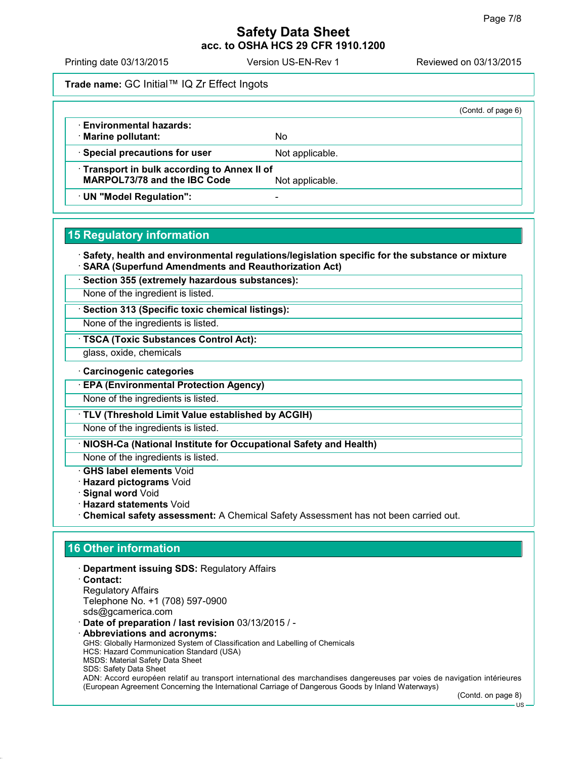Printing date 03/13/2015 Version US-EN-Rev 1 Reviewed on 03/13/2015

**Trade name:** GC Initial™ IQ Zr Effect Ingots

|                                            |                 | (Contd. of page 6) |  |
|--------------------------------------------|-----------------|--------------------|--|
| <b>Environmental hazards:</b>              |                 |                    |  |
| · Marine pollutant:                        | No              |                    |  |
| · Special precautions for user             | Not applicable. |                    |  |
| Transport in bulk according to Annex II of |                 |                    |  |
| <b>MARPOL73/78 and the IBC Code</b>        | Not applicable. |                    |  |
| · UN "Model Regulation":                   |                 |                    |  |

## **15 Regulatory information**

 **Safety, health and environmental regulations/legislation specific for the substance or mixture SARA (Superfund Amendments and Reauthorization Act)**

**Section 355 (extremely hazardous substances):**

None of the ingredient is listed.

**Section 313 (Specific toxic chemical listings):**

None of the ingredients is listed.

**TSCA (Toxic Substances Control Act):**

glass, oxide, chemicals

**Carcinogenic categories**

**EPA (Environmental Protection Agency)**

None of the ingredients is listed.

**TLV (Threshold Limit Value established by ACGIH)**

None of the ingredients is listed.

**NIOSH-Ca (National Institute for Occupational Safety and Health)**

None of the ingredients is listed.

**GHS label elements** Void

**Hazard pictograms** Void

**Signal word** Void

**Hazard statements** Void

**Chemical safety assessment:** A Chemical Safety Assessment has not been carried out.

# **16 Other information**

**Department issuing SDS:** Regulatory Affairs

 **Contact:** Regulatory Affairs Telephone No. +1 (708) 597-0900 sds@gcamerica.com

**Date of preparation / last revision** 03/13/2015 / -

 **Abbreviations and acronyms:** GHS: Globally Harmonized System of Classification and Labelling of Chemicals HCS: Hazard Communication Standard (USA) MSDS: Material Safety Data Sheet SDS: Safety Data Sheet ADN: Accord européen relatif au transport international des marchandises dangereuses par voies de navigation intérieures (European Agreement Concerning the International Carriage of Dangerous Goods by Inland Waterways)

(Contd. on page 8)

 $\overline{18}$